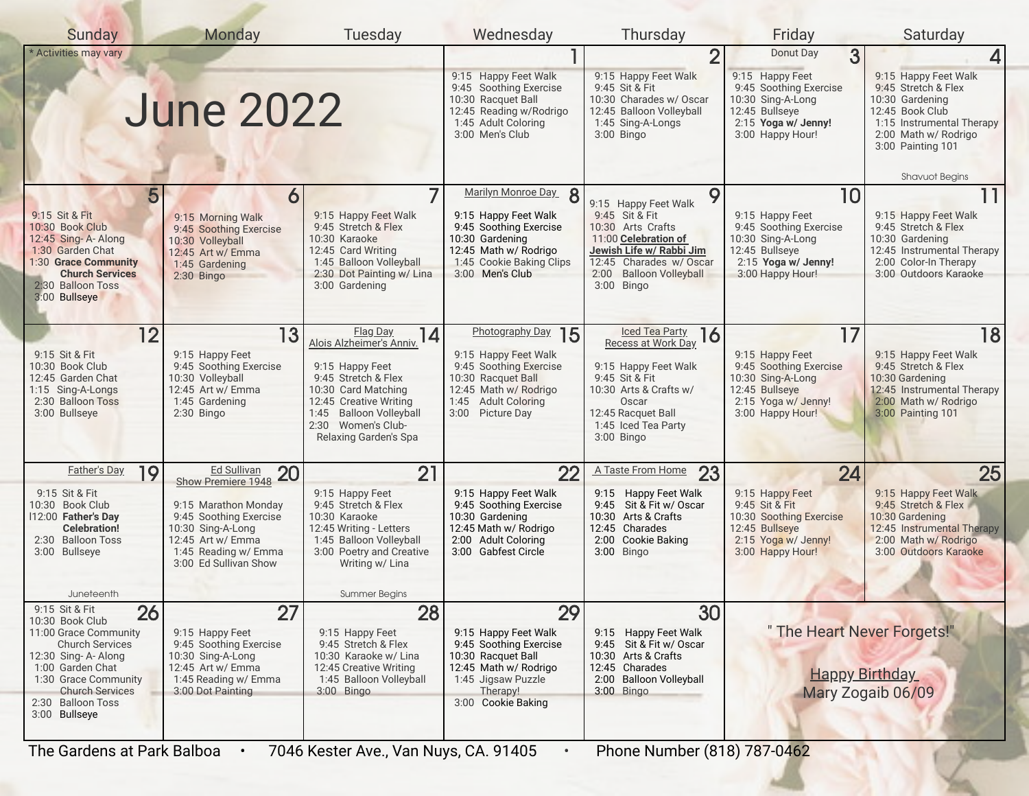| <b>Sunday</b>                                                                                                                                                                                        | Monday                                                                                                                                    | Tuesday                                                                                                                                                           | Wednesday                                                                                                                                                         | Thursday                                                                                                                                                                                 | Friday                                                                                                                            | Saturday                                                                                                                                                    |  |  |
|------------------------------------------------------------------------------------------------------------------------------------------------------------------------------------------------------|-------------------------------------------------------------------------------------------------------------------------------------------|-------------------------------------------------------------------------------------------------------------------------------------------------------------------|-------------------------------------------------------------------------------------------------------------------------------------------------------------------|------------------------------------------------------------------------------------------------------------------------------------------------------------------------------------------|-----------------------------------------------------------------------------------------------------------------------------------|-------------------------------------------------------------------------------------------------------------------------------------------------------------|--|--|
| * Activities may vary                                                                                                                                                                                |                                                                                                                                           |                                                                                                                                                                   |                                                                                                                                                                   | $\overline{2}$                                                                                                                                                                           | 3<br>Donut Day                                                                                                                    |                                                                                                                                                             |  |  |
|                                                                                                                                                                                                      | <b>June 2022</b>                                                                                                                          |                                                                                                                                                                   | 9:15 Happy Feet Walk<br>9:45 Soothing Exercise<br>10:30 Racquet Ball<br>12:45 Reading w/Rodrigo<br>1:45 Adult Coloring<br>3:00 Men's Club                         | 9:15 Happy Feet Walk<br>9:45 Sit & Fit<br>10:30 Charades w/ Oscar<br>12:45 Balloon Volleyball<br>1:45 Sing-A-Longs<br>$3:00$ Bingo                                                       | 9:15 Happy Feet<br>9:45 Soothing Exercise<br>10:30 Sing-A-Long<br>12:45 Bullseye<br>2:15 Yoga w/ Jenny!<br>3:00 Happy Hour!       | 9:15 Happy Feet Walk<br>9:45 Stretch & Flex<br>10:30 Gardening<br>12:45 Book Club<br>1:15 Instrumental Therapy<br>2:00 Math w/ Rodrigo<br>3:00 Painting 101 |  |  |
|                                                                                                                                                                                                      |                                                                                                                                           |                                                                                                                                                                   |                                                                                                                                                                   |                                                                                                                                                                                          |                                                                                                                                   | <b>Shavuot Begins</b>                                                                                                                                       |  |  |
| 5<br>9:15 Sit & Fit<br>10:30 Book Club<br>12:45 Sing-A-Along<br>1:30 Garden Chat<br>1:30 Grace Community<br><b>Church Services</b><br>2:30 Balloon Toss<br>3:00 Bullseye                             | 6<br>9:15 Morning Walk<br>9:45 Soothing Exercise<br>10:30 Volleyball<br>12:45 Art w/ Emma<br>1:45 Gardening<br>$2:30$ Bingo               | 7<br>9:15 Happy Feet Walk<br>9:45 Stretch & Flex<br>10:30 Karaoke<br>12:45 Card Writing<br>1:45 Balloon Volleyball<br>2:30 Dot Painting w/ Lina<br>3:00 Gardening | Marilyn Monroe Day 8<br>9:15 Happy Feet Walk<br>9:45 Soothing Exercise<br>10:30 Gardening<br>12:45 Math w/ Rodrigo<br>1:45 Cookie Baking Clips<br>3:00 Men's Club | 9<br>9:15 Happy Feet Walk<br>9:45 Sit & Fit<br>10:30 Arts Crafts<br>11:00 Celebration of<br>Jewish Life w/ Rabbi Jim<br>12:45 Charades w/ Oscar<br>2:00 Balloon Volleyball<br>3:00 Bingo | 10<br>9:15 Happy Feet<br>9:45 Soothing Exercise<br>10:30 Sing-A-Long<br>12:45 Bullseye<br>2:15 Yoga w/ Jenny!<br>3:00 Happy Hour! | 9:15 Happy Feet Walk<br>9:45 Stretch & Flex<br>10:30 Gardening<br>12:45 Instrumental Therapy<br>2:00 Color-In Therapy<br>3:00 Outdoors Karaoke              |  |  |
| 12                                                                                                                                                                                                   | 13                                                                                                                                        | Flag Day<br>14<br>Alois Alzheimer's Anniv.                                                                                                                        | <b>Photography Day</b><br>15                                                                                                                                      | <b>Iced Tea Party</b><br>16<br>Recess at Work Day                                                                                                                                        | 17                                                                                                                                | 18                                                                                                                                                          |  |  |
| 9:15 Sit & Fit<br>10:30 Book Club<br>12:45 Garden Chat<br>1:15 Sing-A-Longs<br>2:30 Balloon Toss<br>3:00 Bullseye                                                                                    | 9:15 Happy Feet<br>9:45 Soothing Exercise<br>10:30 Volleyball<br>12:45 Art w/ Emma<br>1:45 Gardening<br>$2:30$ Bingo                      | 9:15 Happy Feet<br>9:45 Stretch & Flex<br>10:30 Card Matching<br>12:45 Creative Writing<br>1:45 Balloon Volleyball<br>2:30 Women's Club-<br>Relaxing Garden's Spa | 9:15 Happy Feet Walk<br>9:45 Soothing Exercise<br>10:30 Racquet Ball<br>12:45 Math w/ Rodrigo<br>1:45 Adult Coloring<br>3:00 Picture Day                          | 9:15 Happy Feet Walk<br>9:45 Sit & Fit<br>10:30 Arts & Crafts w/<br>Oscar<br>12:45 Racquet Ball<br>1:45 Iced Tea Party<br>$3:00$ Bingo                                                   | 9:15 Happy Feet<br>9:45 Soothing Exercise<br>10:30 Sing-A-Long<br>12:45 Bullseye<br>2:15 Yoga w/ Jenny!<br>3:00 Happy Hour!       | 9:15 Happy Feet Walk<br>9:45 Stretch & Flex<br>10:30 Gardening<br>12:45 Instrumental Therapy<br>2:00 Math w/ Rodrigo<br>3:00 Painting 101                   |  |  |
| <b>Father's Day</b><br>19                                                                                                                                                                            | Ed Sullivan<br>20<br>Show Premiere 1948                                                                                                   | 21                                                                                                                                                                | 22                                                                                                                                                                | A Taste From Home<br>23                                                                                                                                                                  | 24                                                                                                                                | 25                                                                                                                                                          |  |  |
| 9:15 Sit & Fit<br>10:30 Book Club<br>112:00 Father's Day<br><b>Celebration!</b><br>2:30 Balloon Toss<br>3:00 Bullseye                                                                                | 9:15 Marathon Monday<br>9:45 Soothing Exercise<br>10:30 Sing-A-Long<br>12:45 Art w/ Emma<br>1:45 Reading w/ Emma<br>3:00 Ed Sullivan Show | 9:15 Happy Feet<br>9:45 Stretch & Flex<br>10:30 Karaoke<br>12:45 Writing - Letters<br>1:45 Balloon Volleyball<br>3:00 Poetry and Creative<br>Writing w/ Lina      | 9:15 Happy Feet Walk<br>9:45 Soothing Exercise<br>10:30 Gardening<br>12:45 Math w/ Rodrigo<br>2:00 Adult Coloring<br>3:00 Gabfest Circle                          | 9:15 Happy Feet Walk<br>9:45 Sit & Fit w/ Oscar<br>10:30 Arts & Crafts<br>12:45 Charades<br>2:00 Cookie Baking<br>$3:00$ Bingo                                                           | 9:15 Happy Feet<br>9:45 Sit & Fit<br>10:30 Soothing Exercise<br>12:45 Bullseye<br>2:15 Yoga w/ Jenny!<br>3:00 Happy Hour!         | 9:15 Happy Feet Walk<br>9:45 Stretch & Flex<br>10:30 Gardening<br>12:45 Instrumental Therapy<br>2:00 Math w/ Rodrigo<br>3:00 Outdoors Karaoke               |  |  |
| Juneteenth<br>9:15 Sit & Fit<br>26                                                                                                                                                                   | 27                                                                                                                                        | <b>Summer Begins</b><br>28                                                                                                                                        | 29                                                                                                                                                                | 30                                                                                                                                                                                       |                                                                                                                                   |                                                                                                                                                             |  |  |
| 10:30 Book Club<br>11:00 Grace Community<br><b>Church Services</b><br>12:30 Sing-A-Along<br>1:00 Garden Chat<br>1:30 Grace Community<br><b>Church Services</b><br>2:30 Balloon Toss<br>3:00 Bullseye | 9:15 Happy Feet<br>9:45 Soothing Exercise<br>10:30 Sing-A-Long<br>12:45 Art w/ Emma<br>1:45 Reading w/ Emma<br>3:00 Dot Painting          | 9:15 Happy Feet<br>9:45 Stretch & Flex<br>10:30 Karaoke w/ Lina<br>12:45 Creative Writing<br>1:45 Balloon Volleyball<br>$3:00$ Bingo                              | 9:15 Happy Feet Walk<br>9:45 Soothing Exercise<br>10:30 Racquet Ball<br>12:45 Math w/ Rodrigo<br>1:45 Jigsaw Puzzle<br>Therapy!<br>3:00 Cookie Baking             | 9:15 Happy Feet Walk<br>9:45 Sit & Fit w/ Oscar<br>10:30 Arts & Crafts<br>12:45 Charades<br>2:00 Balloon Volleyball<br>$3:00$ Bingo                                                      | " The Heart Never Forgets!"<br><b>Happy Birthday</b><br>Mary Zogaib 06/09                                                         |                                                                                                                                                             |  |  |
| Phone Number (818) 787-0462<br>The Gardens at Park Balboa<br>7046 Kester Ave., Van Nuys, CA. 91405                                                                                                   |                                                                                                                                           |                                                                                                                                                                   |                                                                                                                                                                   |                                                                                                                                                                                          |                                                                                                                                   |                                                                                                                                                             |  |  |